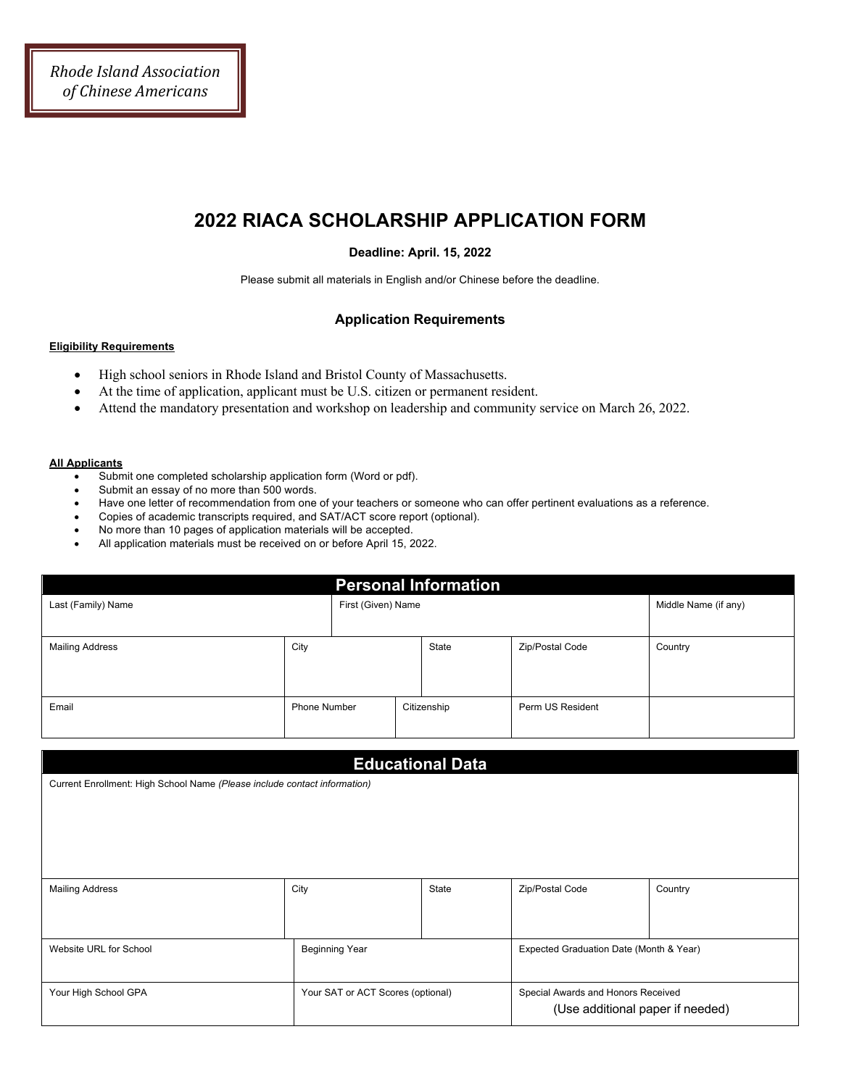# **2022 RIACA SCHOLARSHIP APPLICATION FORM**

### **Deadline: April. 15, 2022**

Please submit all materials in English and/or Chinese before the deadline.

### **Application Requirements**

#### **Eligibility Requirements**

- High school seniors in Rhode Island and Bristol County of Massachusetts.
- At the time of application, applicant must be U.S. citizen or permanent resident.
- Attend the mandatory presentation and workshop on leadership and community service on March 26, 2022.

#### **All Applicants**

- Submit one completed scholarship application form (Word or pdf).
- Submit an essay of no more than 500 words.
- Have one letter of recommendation from one of your teachers or someone who can offer pertinent evaluations as a reference.
- Copies of academic transcripts required, and SAT/ACT score report (optional).
- No more than 10 pages of application materials will be accepted.
- All application materials must be received on or before April 15, 2022.

| <b>Personal Information</b> |      |                    |  |             |                  |                      |  |  |
|-----------------------------|------|--------------------|--|-------------|------------------|----------------------|--|--|
| Last (Family) Name          |      | First (Given) Name |  |             |                  | Middle Name (if any) |  |  |
|                             |      |                    |  |             |                  |                      |  |  |
| <b>Mailing Address</b>      | City |                    |  | State       | Zip/Postal Code  | Country              |  |  |
|                             |      |                    |  |             |                  |                      |  |  |
|                             |      |                    |  |             |                  |                      |  |  |
| Email                       |      | Phone Number       |  | Citizenship | Perm US Resident |                      |  |  |
|                             |      |                    |  |             |                  |                      |  |  |

| <b>Educational Data</b>                                                   |                                   |       |                                                                        |         |  |  |  |
|---------------------------------------------------------------------------|-----------------------------------|-------|------------------------------------------------------------------------|---------|--|--|--|
| Current Enrollment: High School Name (Please include contact information) |                                   |       |                                                                        |         |  |  |  |
|                                                                           |                                   |       |                                                                        |         |  |  |  |
|                                                                           |                                   |       |                                                                        |         |  |  |  |
|                                                                           |                                   |       |                                                                        |         |  |  |  |
|                                                                           |                                   |       |                                                                        |         |  |  |  |
| <b>Mailing Address</b>                                                    | City                              | State | Zip/Postal Code                                                        | Country |  |  |  |
|                                                                           |                                   |       |                                                                        |         |  |  |  |
|                                                                           |                                   |       |                                                                        |         |  |  |  |
| Website URL for School                                                    | <b>Beginning Year</b>             |       | Expected Graduation Date (Month & Year)                                |         |  |  |  |
|                                                                           |                                   |       |                                                                        |         |  |  |  |
| Your High School GPA                                                      | Your SAT or ACT Scores (optional) |       | Special Awards and Honors Received<br>(Use additional paper if needed) |         |  |  |  |
|                                                                           |                                   |       |                                                                        |         |  |  |  |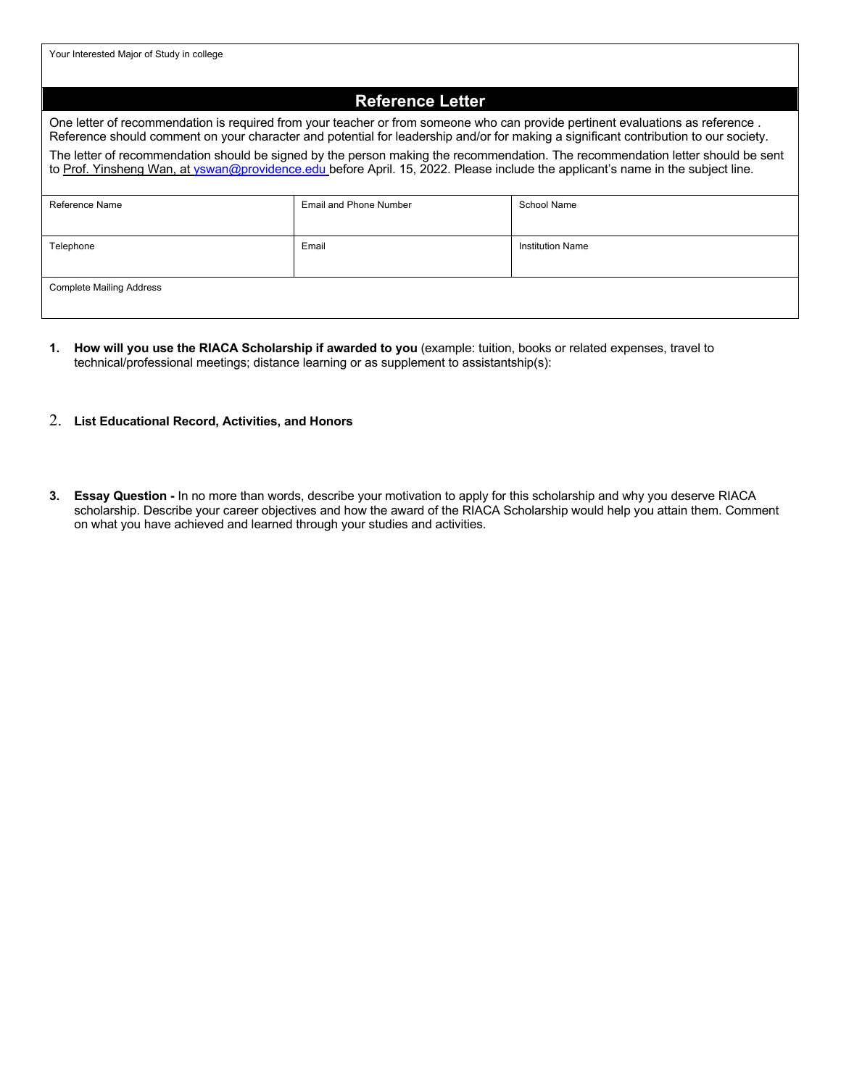Your Interested Major of Study in college

## **Reference Letter**

One letter of recommendation is required from your teacher or from someone who can provide pertinent evaluations as reference . Reference should comment on your character and potential for leadership and/or for making a significant contribution to our society.

The letter of recommendation should be signed by the person making the recommendation. The recommendation letter should be sent to Prof. Yinsheng Wan, at yswan@providence.edu before April. 15, 2022. Please include the applicant's name in the subject line.

| Reference Name                  | Email and Phone Number | School Name             |
|---------------------------------|------------------------|-------------------------|
| Telephone                       | Email                  | <b>Institution Name</b> |
| <b>Complete Mailing Address</b> |                        |                         |

- **1. How will you use the RIACA Scholarship if awarded to you** (example: tuition, books or related expenses, travel to technical/professional meetings; distance learning or as supplement to assistantship(s):
- 2. **List Educational Record, Activities, and Honors**
- **3. Essay Question -** In no more than words, describe your motivation to apply for this scholarship and why you deserve RIACA scholarship. Describe your career objectives and how the award of the RIACA Scholarship would help you attain them. Comment on what you have achieved and learned through your studies and activities.